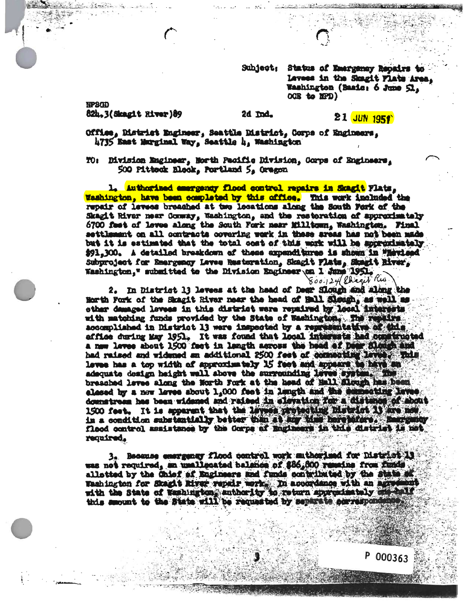Subject: Status of Emergency Repairs to Iavess in the Skagit Flats Area, Waahington (Baaie: 6 June 51, QGS to HPD)

NPSQD 82h.3(Skazit River)89

r<br>C

## 2d

**21 JUN 1951** 

Office, Bistrict Engineer, Seattle District, Corpa of Engineers, UT35 Baat Marginal Way, Seattle U, Waahington

TOi DirLoion Engineer, north Pacific Mvisioa, Corps of \$00 Pltteok Bleok, Portland \$, Oregon

1. Authorised amerganny flood control repairs in Skaglt Flats, Washington, bava baan ooaplatad by this offlca. Bda iwk **tha** repair of levess breached at two locations along the South Fork of the Skagit River near County, Washington, and the restoration of approximately 6700 feat of larea aloag tha South Fork near JOlltqaa, waahingtoo. Final aottlaaani oa all ooatraota covering work ia these areas hair not been made tat it is eatimated that the total oost of this work will be approximately 191,300, A detailed breakdown of these expenditures is shown in "Haviesd"<br>Subproject for Emergency Leves Basteration, Skagit Flats, Stagit Biver, Subproject for Smargency Leves Restoration, Skagit Flats, Skagit Hiver,  $800.124$  Chran Rus

**2. to ttatriet U l«vaoa at tha head of Boar &\$ and altotg tha** Horth Fork of the Skagit Bivar near the head of BO1 **Slough**, as well as other damaged lovees in this district were repaired by local imparents of the second the second in the second in<br>with matching funds provided by the State of Washington, The results. with matching funds provided by the State of Washingtom. The rep acoomplished in District 13 were inspected by a representative of this affloated affloa during itay 1951. It was found that local integrate had complicated a new leves about 1500 feet in langth across the head af Dear (Alm had raided and widaned aa additional 25GO feet of lawes has a top width of approximately 15 feet a adaquate design height well above the surrounding leves system. The braaohad lov«a along tt»e iftrth Forte at the head of BalX ttoog **ttoogh**h **b** baa been elesse by a now leves about 1,000 feet in langth and the examenting Inves elessed by a new leves about 1,000 fust in langth and the sense<br>downstream has been widened and raised in elevation for a district<br>1500 feet, It is apparent that the lavest providenties in the lave l.500 feet. It is spparent that the leves protecting historict it are now.<br>in a condition substantially better than at any time here paters. Energies flood control assistance by the Corps of Bagineers in this district is not

3. Beaanse emergenay flood control work anthorized for District 13<br>was not required, an unallegated balance of \$66,600 runsing from funds was not required, an xusallocated balance of \$86,800 reaches from the the state of saahington for Skagtt Hirar repair work. In acooydanoa with an Washington for Skagit Kiver repels work. In accordance with an agree this smount to the State will be requested by Beparate servesponds